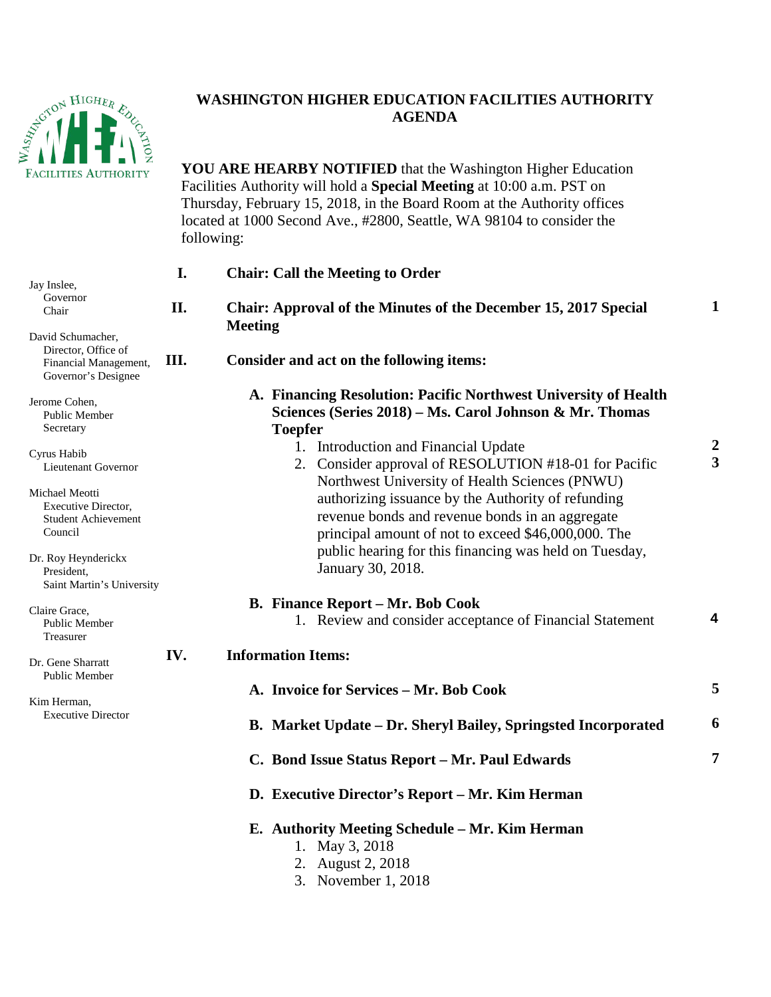

## **WASHINGTON HIGHER EDUCATION FACILITIES AUTHORITY AGENDA**

**YOU ARE HEARBY NOTIFIED** that the Washington Higher Education Facilities Authority will hold a **Special Meeting** at 10:00 a.m. PST on Thursday, February 15, 2018, in the Board Room at the Authority offices located at 1000 Second Ave., #2800, Seattle, WA 98104 to consider the following:

| Jay Inslee,                                                                              | I.   | <b>Chair: Call the Meeting to Order</b>                                                                                                                                                                        |                                           |
|------------------------------------------------------------------------------------------|------|----------------------------------------------------------------------------------------------------------------------------------------------------------------------------------------------------------------|-------------------------------------------|
| Governor<br>Chair                                                                        | II.  | <b>Chair: Approval of the Minutes of the December 15, 2017 Special</b><br><b>Meeting</b>                                                                                                                       | 1                                         |
| David Schumacher,<br>Director, Office of<br>Financial Management,<br>Governor's Designee | III. | Consider and act on the following items:                                                                                                                                                                       |                                           |
| Jerome Cohen,<br><b>Public Member</b><br>Secretary                                       |      | A. Financing Resolution: Pacific Northwest University of Health<br>Sciences (Series 2018) – Ms. Carol Johnson & Mr. Thomas<br><b>Toepfer</b>                                                                   |                                           |
| Cyrus Habib<br>Lieutenant Governor                                                       |      | 1. Introduction and Financial Update<br>2. Consider approval of RESOLUTION #18-01 for Pacific                                                                                                                  | $\overline{2}$<br>$\overline{\mathbf{3}}$ |
| Michael Meotti<br><b>Executive Director,</b><br><b>Student Achievement</b><br>Council    |      | Northwest University of Health Sciences (PNWU)<br>authorizing issuance by the Authority of refunding<br>revenue bonds and revenue bonds in an aggregate<br>principal amount of not to exceed \$46,000,000. The |                                           |
| Dr. Roy Heynderickx<br>President,<br>Saint Martin's University                           |      | public hearing for this financing was held on Tuesday,<br>January 30, 2018.                                                                                                                                    |                                           |
| Claire Grace,<br><b>Public Member</b><br>Treasurer                                       |      | <b>B.</b> Finance Report – Mr. Bob Cook<br>1. Review and consider acceptance of Financial Statement                                                                                                            | 4                                         |
| Dr. Gene Sharratt<br>Public Member                                                       | IV.  | <b>Information Items:</b>                                                                                                                                                                                      |                                           |
| Kim Herman,                                                                              |      | A. Invoice for Services - Mr. Bob Cook                                                                                                                                                                         | 5                                         |
| <b>Executive Director</b>                                                                |      | B. Market Update - Dr. Sheryl Bailey, Springsted Incorporated                                                                                                                                                  | 6                                         |
|                                                                                          |      | C. Bond Issue Status Report - Mr. Paul Edwards                                                                                                                                                                 | 7                                         |
|                                                                                          |      | D. Executive Director's Report - Mr. Kim Herman                                                                                                                                                                |                                           |
|                                                                                          |      | E. Authority Meeting Schedule - Mr. Kim Herman<br>1. May 3, 2018<br>2. August 2, 2018                                                                                                                          |                                           |

3. November 1, 2018